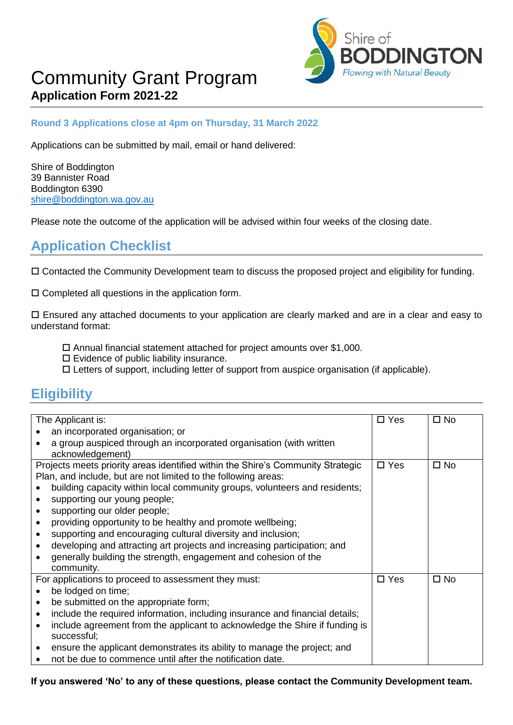

# Community Grant Program **Application Form 2021-22**

#### **Round 3 Applications close at 4pm on Thursday, 31 March 2022**

Applications can be submitted by mail, email or hand delivered:

Shire of Boddington 39 Bannister Road Boddington 6390 [shire@boddington.wa.gov.au](mailto:shire@boddington.wa.gov.au)

Please note the outcome of the application will be advised within four weeks of the closing date.

### **Application Checklist**

Contacted the Community Development team to discuss the proposed project and eligibility for funding.

 $\square$  Completed all questions in the application form.

 Ensured any attached documents to your application are clearly marked and are in a clear and easy to understand format:

- $\square$  Annual financial statement attached for project amounts over \$1,000.
- $\square$  Evidence of public liability insurance.
- Letters of support, including letter of support from auspice organisation (if applicable).

## **Eligibility**

| The Applicant is:                                                                                                                                                              | $\Box$ Yes    | $\square$ No |
|--------------------------------------------------------------------------------------------------------------------------------------------------------------------------------|---------------|--------------|
| an incorporated organisation; or                                                                                                                                               |               |              |
| a group auspiced through an incorporated organisation (with written                                                                                                            |               |              |
| acknowledgement)                                                                                                                                                               |               |              |
| Projects meets priority areas identified within the Shire's Community Strategic                                                                                                | $\Box$ Yes    | $\square$ No |
| Plan, and include, but are not limited to the following areas:                                                                                                                 |               |              |
| building capacity within local community groups, volunteers and residents;                                                                                                     |               |              |
| supporting our young people;                                                                                                                                                   |               |              |
| supporting our older people;                                                                                                                                                   |               |              |
| providing opportunity to be healthy and promote wellbeing;                                                                                                                     |               |              |
| supporting and encouraging cultural diversity and inclusion;<br>$\bullet$                                                                                                      |               |              |
| developing and attracting art projects and increasing participation; and                                                                                                       |               |              |
| generally building the strength, engagement and cohesion of the                                                                                                                |               |              |
| community.                                                                                                                                                                     |               |              |
| For applications to proceed to assessment they must:                                                                                                                           | $\square$ Yes | $\square$ No |
| be lodged on time;                                                                                                                                                             |               |              |
| be submitted on the appropriate form;                                                                                                                                          |               |              |
| include the required information, including insurance and financial details;<br>$\bullet$                                                                                      |               |              |
| include agreement from the applicant to acknowledge the Shire if funding is<br>$\bullet$                                                                                       |               |              |
|                                                                                                                                                                                |               |              |
|                                                                                                                                                                                |               |              |
|                                                                                                                                                                                |               |              |
| successful;<br>ensure the applicant demonstrates its ability to manage the project; and<br>$\bullet$<br>not be due to commence until after the notification date.<br>$\bullet$ |               |              |

**If you answered 'No' to any of these questions, please contact the Community Development team.**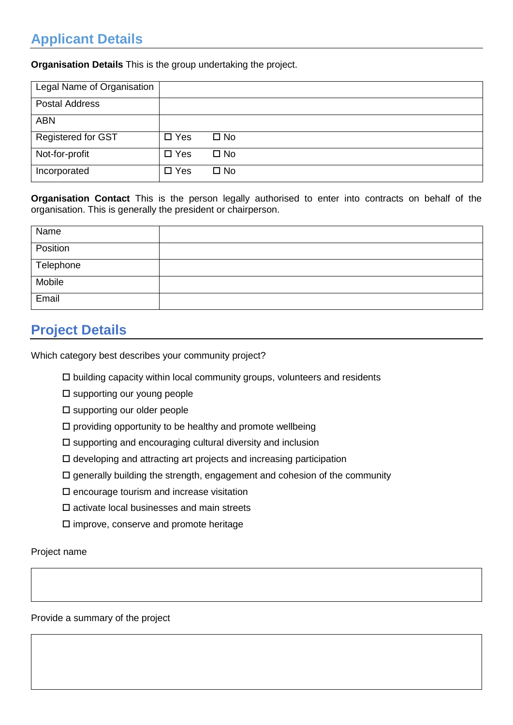## **Applicant Details**

**Organisation Details** This is the group undertaking the project.

| Legal Name of Organisation |               |              |  |  |  |
|----------------------------|---------------|--------------|--|--|--|
| <b>Postal Address</b>      |               |              |  |  |  |
| <b>ABN</b>                 |               |              |  |  |  |
| Registered for GST         | $\square$ Yes | $\square$ No |  |  |  |
| Not-for-profit             | $\square$ Yes | $\square$ No |  |  |  |
| Incorporated               | $\square$ Yes | $\square$ No |  |  |  |

**Organisation Contact** This is the person legally authorised to enter into contracts on behalf of the organisation. This is generally the president or chairperson.

| Name      |  |
|-----------|--|
| Position  |  |
| Telephone |  |
| Mobile    |  |
| Email     |  |

## **Project Details**

Which category best describes your community project?

- $\square$  building capacity within local community groups, volunteers and residents
- $\square$  supporting our young people
- $\square$  supporting our older people
- $\square$  providing opportunity to be healthy and promote wellbeing
- $\square$  supporting and encouraging cultural diversity and inclusion
- $\square$  developing and attracting art projects and increasing participation
- $\square$  generally building the strength, engagement and cohesion of the community
- $\square$  encourage tourism and increase visitation
- $\square$  activate local businesses and main streets
- $\square$  improve, conserve and promote heritage

Project name

Provide a summary of the project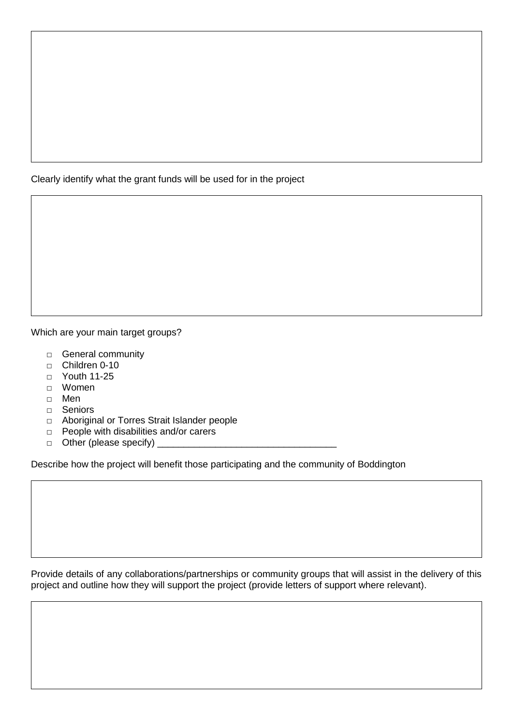Clearly identify what the grant funds will be used for in the project

Which are your main target groups?

- □ General community
- $\Box$  Children 0-10
- □ Youth 11-25
- □ Women
- □ Men
- □ Seniors
- □ Aboriginal or Torres Strait Islander people
- □ People with disabilities and/or carers
- □ Other (please specify) \_\_\_\_\_\_\_\_\_\_\_\_\_\_\_\_\_\_\_\_\_\_\_\_\_\_\_\_\_\_\_\_\_\_

Describe how the project will benefit those participating and the community of Boddington

Provide details of any collaborations/partnerships or community groups that will assist in the delivery of this project and outline how they will support the project (provide letters of support where relevant).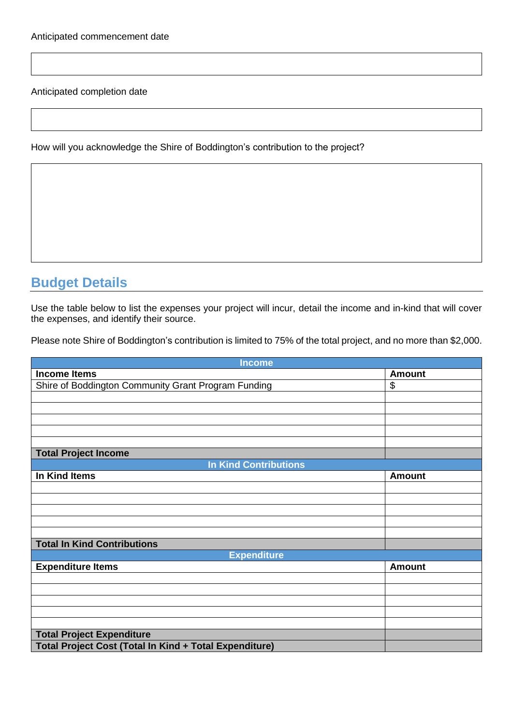Anticipated completion date

How will you acknowledge the Shire of Boddington's contribution to the project?

## **Budget Details**

Use the table below to list the expenses your project will incur, detail the income and in-kind that will cover the expenses, and identify their source.

Please note Shire of Boddington's contribution is limited to 75% of the total project, and no more than \$2,000.

| <b>Income</b>                                          |               |  |  |
|--------------------------------------------------------|---------------|--|--|
| <b>Income Items</b>                                    | <b>Amount</b> |  |  |
| Shire of Boddington Community Grant Program Funding    | \$            |  |  |
|                                                        |               |  |  |
|                                                        |               |  |  |
|                                                        |               |  |  |
|                                                        |               |  |  |
|                                                        |               |  |  |
| <b>Total Project Income</b>                            |               |  |  |
| <b>In Kind Contributions</b>                           |               |  |  |
| In Kind Items                                          | <b>Amount</b> |  |  |
|                                                        |               |  |  |
|                                                        |               |  |  |
|                                                        |               |  |  |
|                                                        |               |  |  |
|                                                        |               |  |  |
| <b>Total In Kind Contributions</b>                     |               |  |  |
| <b>Expenditure</b>                                     |               |  |  |
| <b>Expenditure Items</b>                               | <b>Amount</b> |  |  |
|                                                        |               |  |  |
|                                                        |               |  |  |
|                                                        |               |  |  |
|                                                        |               |  |  |
|                                                        |               |  |  |
| <b>Total Project Expenditure</b>                       |               |  |  |
| Total Project Cost (Total In Kind + Total Expenditure) |               |  |  |